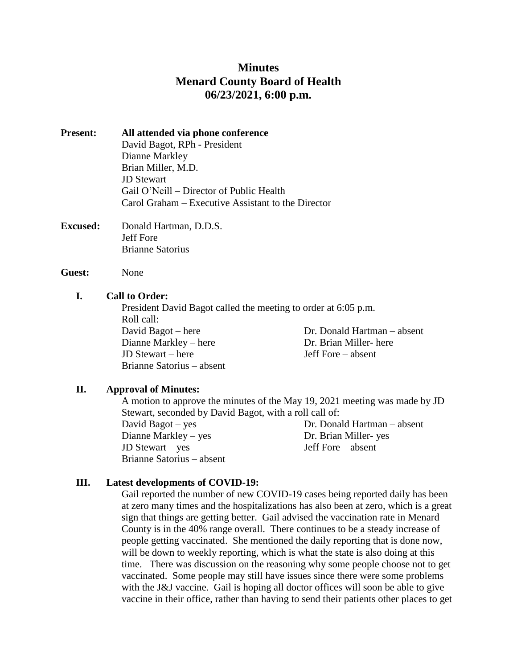# **Minutes Menard County Board of Health 06/23/2021, 6:00 p.m.**

- **Present: All attended via phone conference** David Bagot, RPh - President Dianne Markley Brian Miller, M.D. JD Stewart Gail O'Neill – Director of Public Health Carol Graham – Executive Assistant to the Director
- **Excused:** Donald Hartman, D.D.S. Jeff Fore Brianne Satorius

**Guest:** None

#### **I. Call to Order:**

President David Bagot called the meeting to order at 6:05 p.m. Roll call: David Bagot – here Dr. Donald Hartman – absent Dianne Markley – here Dr. Brian Miller- here JD Stewart – here Jeff Fore – absent Brianne Satorius – absent

## **II. Approval of Minutes:**

A motion to approve the minutes of the May 19, 2021 meeting was made by JD Stewart, seconded by David Bagot, with a roll call of:

Dianne Markley – yes Dr. Brian Miller- yes JD Stewart – yes Jeff Fore – absent Brianne Satorius – absent

David Bagot – yes Dr. Donald Hartman – absent

## **III. Latest developments of COVID-19:**

Gail reported the number of new COVID-19 cases being reported daily has been at zero many times and the hospitalizations has also been at zero, which is a great sign that things are getting better. Gail advised the vaccination rate in Menard County is in the 40% range overall. There continues to be a steady increase of people getting vaccinated. She mentioned the daily reporting that is done now, will be down to weekly reporting, which is what the state is also doing at this time. There was discussion on the reasoning why some people choose not to get vaccinated. Some people may still have issues since there were some problems with the J&J vaccine. Gail is hoping all doctor offices will soon be able to give vaccine in their office, rather than having to send their patients other places to get